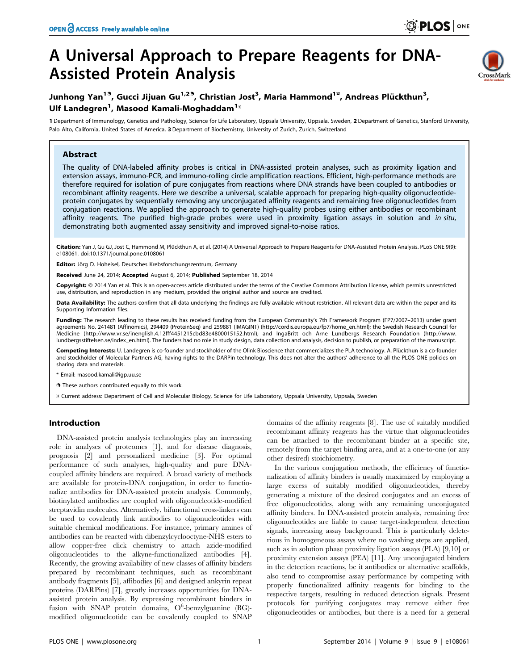# A Universal Approach to Prepare Reagents for DNA-Assisted Protein Analysis



# Junhong Yan<sup>19</sup>, Gucci Jijuan Gu<sup>1,29</sup>, Christian Jost<sup>3</sup>, Maria Hammond<sup>1¤</sup>, Andreas Plückthun<sup>3</sup>, Ulf Landegren<sup>1</sup>, Masood Kamali-Moghaddam<sup>1</sup>\*

1 Department of Immunology, Genetics and Pathology, Science for Life Laboratory, Uppsala University, Uppsala, Sweden, 2 Department of Genetics, Stanford University, Palo Alto, California, United States of America, 3 Department of Biochemistry, University of Zurich, Zurich, Switzerland

# Abstract

The quality of DNA-labeled affinity probes is critical in DNA-assisted protein analyses, such as proximity ligation and extension assays, immuno-PCR, and immuno-rolling circle amplification reactions. Efficient, high-performance methods are therefore required for isolation of pure conjugates from reactions where DNA strands have been coupled to antibodies or recombinant affinity reagents. Here we describe a universal, scalable approach for preparing high-quality oligonucleotideprotein conjugates by sequentially removing any unconjugated affinity reagents and remaining free oligonucleotides from conjugation reactions. We applied the approach to generate high-quality probes using either antibodies or recombinant affinity reagents. The purified high-grade probes were used in proximity ligation assays in solution and in situ, demonstrating both augmented assay sensitivity and improved signal-to-noise ratios.

Citation: Yan J, Gu GJ, Jost C, Hammond M, Plückthun A, et al. (2014) A Universal Approach to Prepare Reagents for DNA-Assisted Protein Analysis. PLoS ONE 9(9): e108061. doi:10.1371/journal.pone.0108061

Editor: Jörg D. Hoheisel, Deutsches Krebsforschungszentrum, Germany

Received June 24, 2014; Accepted August 6, 2014; Published September 18, 2014

Copyright: © 2014 Yan et al. This is an open-access article distributed under the terms of the [Creative Commons Attribution License,](http://creativecommons.org/licenses/by/4.0/) which permits unrestricted use, distribution, and reproduction in any medium, provided the original author and source are credited.

Data Availability: The authors confirm that all data underlying the findings are fully available without restriction. All relevant data are within the paper and its Supporting Information files.

Funding: The research leading to these results has received funding from the European Community's 7th Framework Program (FP7/2007-2013) under grant agreements No. 241481 (Affinomics), 294409 (ProteinSeq) and 259881 (IMAGINT) ([http://cordis.europa.eu/fp7/home\\_en.html](http://cordis.europa.eu/fp7/home_en.html)); the Swedish Research Council for<br>Medicine [\(http://www.](http://www.lundbergsstiftelsen.se/index_en.html)vr.se/inenglish.4.12fff4451215cbd83e4800015152 [lundbergsstiftelsen.se/index\\_en.html\)](http://www.lundbergsstiftelsen.se/index_en.html). The funders had no role in study design, data collection and analysis, decision to publish, or preparation of the manuscript.

Competing Interests: U. Landegren is co-founder and stockholder of the Olink Bioscience that commercializes the PLA technology. A. Plückthun is a co-founder and stockholder of Molecular Partners AG, having rights to the DARPin technology. This does not alter the authors' adherence to all the PLOS ONE policies on sharing data and materials.

\* Email: masood.kamali@igp.uu.se

. These authors contributed equally to this work.

¤ Current address: Department of Cell and Molecular Biology, Science for Life Laboratory, Uppsala University, Uppsala, Sweden

# Introduction

DNA-assisted protein analysis technologies play an increasing role in analyses of proteomes [1], and for disease diagnosis, prognosis [2] and personalized medicine [3]. For optimal performance of such analyses, high-quality and pure DNAcoupled affinity binders are required. A broad variety of methods are available for protein-DNA conjugation, in order to functionalize antibodies for DNA-assisted protein analysis. Commonly, biotinylated antibodies are coupled with oligonucleotide-modified streptavidin molecules. Alternatively, bifunctional cross-linkers can be used to covalently link antibodies to oligonucleotides with suitable chemical modifications. For instance, primary amines of antibodies can be reacted with dibenzylcyclooctyne-NHS esters to allow copper-free click chemistry to attach azide-modified oligonucleotides to the alkyne-functionalized antibodies [4]. Recently, the growing availability of new classes of affinity binders prepared by recombinant techniques, such as recombinant antibody fragments [5], affibodies [6] and designed ankyrin repeat proteins (DARPins) [7], greatly increases opportunities for DNAassisted protein analysis. By expressing recombinant binders in fusion with SNAP protein domains, O<sup>6</sup>-benzylguanine (BG)modified oligonucleotide can be covalently coupled to SNAP

domains of the affinity reagents [8]. The use of suitably modified recombinant affinity reagents has the virtue that oligonucleotides can be attached to the recombinant binder at a specific site, remotely from the target binding area, and at a one-to-one (or any other desired) stoichiometry.

In the various conjugation methods, the efficiency of functionalization of affinity binders is usually maximized by employing a large excess of suitably modified oligonucleotides, thereby generating a mixture of the desired conjugates and an excess of free oligonucleotides, along with any remaining unconjugated affinity binders. In DNA-assisted protein analysis, remaining free oligonucleotides are liable to cause target-independent detection signals, increasing assay background. This is particularly deleterious in homogeneous assays where no washing steps are applied, such as in solution phase proximity ligation assays (PLA) [9,10] or proximity extension assays (PEA) [11]. Any unconjugated binders in the detection reactions, be it antibodies or alternative scaffolds, also tend to compromise assay performance by competing with properly functionalized affinity reagents for binding to the respective targets, resulting in reduced detection signals. Present protocols for purifying conjugates may remove either free oligonucleotides or antibodies, but there is a need for a general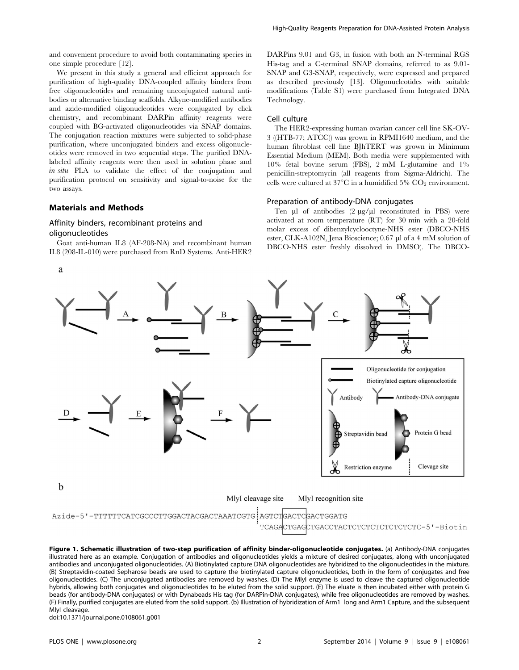and convenient procedure to avoid both contaminating species in one simple procedure [12].

We present in this study a general and efficient approach for purification of high-quality DNA-coupled affinity binders from free oligonucleotides and remaining unconjugated natural antibodies or alternative binding scaffolds. Alkyne-modified antibodies and azide-modified oligonucleotides were conjugated by click chemistry, and recombinant DARPin affinity reagents were coupled with BG-activated oligonucleotides via SNAP domains. The conjugation reaction mixtures were subjected to solid-phase purification, where unconjugated binders and excess oligonucleotides were removed in two sequential steps. The purified DNAlabeled affinity reagents were then used in solution phase and in situ PLA to validate the effect of the conjugation and purification protocol on sensitivity and signal-to-noise for the two assays.

# Materials and Methods

# Affinity binders, recombinant proteins and oligonucleotides

Goat anti-human IL8 (AF-208-NA) and recombinant human IL8 (208-IL-010) were purchased from RnD Systems. Anti-HER2 DARPins 9.01 and G3, in fusion with both an N-terminal RGS His-tag and a C-terminal SNAP domains, referred to as 9.01- SNAP and G3-SNAP, respectively, were expressed and prepared as described previously [13]. Oligonucleotides with suitable modifications (Table S1) were purchased from Integrated DNA Technology.

# Cell culture

The HER2-expressing human ovarian cancer cell line SK-OV-3 ((HTB-77; ATCC)) was grown in RPMI1640 medium, and the human fibroblast cell line BJhTERT was grown in Minimum Essential Medium (MEM). Both media were supplemented with 10% fetal bovine serum (FBS), 2 mM L-glutamine and 1% penicillin-streptomycin (all reagents from Sigma-Aldrich). The cells were cultured at 37 $\mathrm{^{\circ}C}$  in a humidified 5%  $\mathrm{CO}_{2}$  environment.

# Preparation of antibody-DNA conjugates

Ten  $\mu$ l of antibodies (2  $\mu$ g/ $\mu$ l reconstituted in PBS) were activated at room temperature (RT) for 30 min with a 20-fold molar excess of dibenzylcyclooctyne-NHS ester (DBCO-NHS ester, CLK-A102N, Jena Bioscience; 0.67 µl of a 4 mM solution of DBCO-NHS ester freshly dissolved in DMSO). The DBCO-



Figure 1. Schematic illustration of two-step purification of affinity binder-oligonucleotide conjugates. (a) Antibody-DNA conjugates illustrated here as an example. Conjugation of antibodies and oligonucleotides yields a mixture of desired conjugates, along with unconjugated antibodies and unconjugated oligonucleotides. (A) Biotinylated capture DNA oligonucleotides are hybridized to the oligonucleotides in the mixture. (B) Streptavidin-coated Sepharose beads are used to capture the biotinylated capture oligonucleotides, both in the form of conjugates and free oligonucleotides. (C) The unconjugated antibodies are removed by washes. (D) The MlyI enzyme is used to cleave the captured oligonucleotide hybrids, allowing both conjugates and oligonucleotides to be eluted from the solid support. (E) The eluate is then incubated either with protein G beads (for antibody-DNA conjugates) or with Dynabeads His tag (for DARPin-DNA conjugates), while free oligonucleotides are removed by washes. (F) Finally, purified conjugates are eluted from the solid support. (b) Illustration of hybridization of Arm1\_long and Arm1 Capture, and the subsequent MlyI cleavage.

doi:10.1371/journal.pone.0108061.g001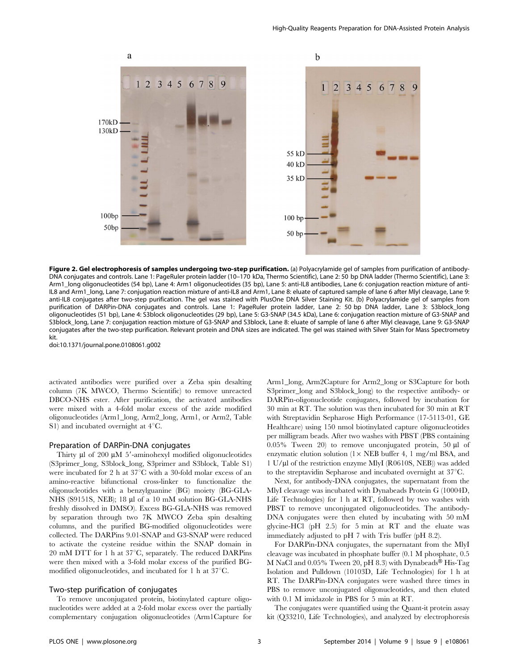

Figure 2. Gel electrophoresis of samples undergoing two-step purification. (a) Polyacrylamide gel of samples from purification of antibody-DNA conjugates and controls. Lane 1: PageRuler protein ladder (10–170 kDa, Thermo Scientific), Lane 2: 50 bp DNA ladder (Thermo Scientific), Lane 3: Arm1\_long oligonucleotides (54 bp), Lane 4: Arm1 oligonucleotides (35 bp), Lane 5: anti-IL8 antibodies, Lane 6: conjugation reaction mixture of anti-IL8 and Arm1\_long, Lane 7: conjugation reaction mixture of anti-IL8 and Arm1, Lane 8: eluate of captured sample of lane 6 after MlyI cleavage, Lane 9: anti-IL8 conjugates after two-step purification. The gel was stained with PlusOne DNA Silver Staining Kit. (b) Polyacrylamide gel of samples from purification of DARPin-DNA conjugates and controls. Lane 1: PageRuler protein ladder, Lane 2: 50 bp DNA ladder, Lane 3: S3block\_long oligonucleotides (51 bp), Lane 4: S3block oligonucleotides (29 bp), Lane 5: G3-SNAP (34.5 kDa), Lane 6: conjugation reaction mixture of G3-SNAP and S3block\_long, Lane 7: conjugation reaction mixture of G3-SNAP and S3block, Lane 8: eluate of sample of lane 6 after MlyI cleavage, Lane 9: G3-SNAP conjugates after the two-step purification. Relevant protein and DNA sizes are indicated. The gel was stained with Silver Stain for Mass Spectrometry kit.

doi:10.1371/journal.pone.0108061.g002

activated antibodies were purified over a Zeba spin desalting column (7K MWCO, Thermo Scientific) to remove unreacted DBCO-NHS ester. After purification, the activated antibodies were mixed with a 4-fold molar excess of the azide modified oligonucleotides (Arm1\_long, Arm2\_long, Arm1, or Arm2, Table S1) and incubated overnight at  $4^{\circ}C$ .

#### Preparation of DARPin-DNA conjugates

Thirty  $\mu$ l of 200  $\mu$ M 5'-aminohexyl modified oligonucleotides (S3primer\_long, S3block\_long, S3primer and S3block, Table S1) were incubated for 2 h at  $37^{\circ}$ C with a 30-fold molar excess of an amino-reactive bifunctional cross-linker to functionalize the oligonucleotides with a benzylguanine (BG) moiety (BG-GLA-NHS (S9151S, NEB); 18 µl of a 10 mM solution BG-GLA-NHS freshly dissolved in DMSO). Excess BG-GLA-NHS was removed by separation through two 7K MWCO Zeba spin desalting columns, and the purified BG-modified oligonucleotides were collected. The DARPins 9.01-SNAP and G3-SNAP were reduced to activate the cysteine residue within the SNAP domain in 20 mM DTT for 1 h at  $37^{\circ}$ C, separately. The reduced DARPins were then mixed with a 3-fold molar excess of the purified BGmodified oligonucleotides, and incubated for 1 h at  $37^{\circ}$ C.

#### Two-step purification of conjugates

To remove unconjugated protein, biotinylated capture oligonucleotides were added at a 2-fold molar excess over the partially complementary conjugation oligonucleotides (Arm1Capture for Arm1\_long, Arm2Capture for Arm2\_long or S3Capture for both S3primer long and S3block long) to the respective antibody- or DARPin-oligonucleotide conjugates, followed by incubation for 30 min at RT. The solution was then incubated for 30 min at RT with Streptavidin Sepharose High Performance (17-5113-01, GE Healthcare) using 150 nmol biotinylated capture oligonucleotides per milligram beads. After two washes with PBST (PBS containing 0.05% Tween 20) to remove unconjugated protein, 50  $\mu$ l of enzymatic elution solution  $(1 \times \text{NEB})$  buffer 4, 1 mg/ml BSA, and 1 U/ml of the restriction enzyme MlyI (R0610S, NEB)) was added to the streptavidin Sepharose and incubated overnight at  $37^{\circ}$ C.

Next, for antibody-DNA conjugates, the supernatant from the MlyI cleavage was incubated with Dynabeads Protein G (10004D, Life Technologies) for 1 h at RT, followed by two washes with PBST to remove unconjugated oligonucleotides. The antibody-DNA conjugates were then eluted by incubating with 50 mM glycine-HCl (pH 2.5) for 5 min at RT and the eluate was immediately adjusted to pH 7 with Tris buffer (pH 8.2).

For DARPin-DNA conjugates, the supernatant from the MlyI cleavage was incubated in phosphate buffer (0.1 M phosphate, 0.5 M NaCl and 0.05% Tween 20, pH 8.3) with Dynabeads<sup>®</sup> His-Tag Isolation and Pulldown (10103D, Life Technologies) for 1 h at RT. The DARPin-DNA conjugates were washed three times in PBS to remove unconjugated oligonucleotides, and then eluted with 0.1 M imidazole in PBS for 5 min at RT.

The conjugates were quantified using the Quant-it protein assay kit (Q33210, Life Technologies), and analyzed by electrophoresis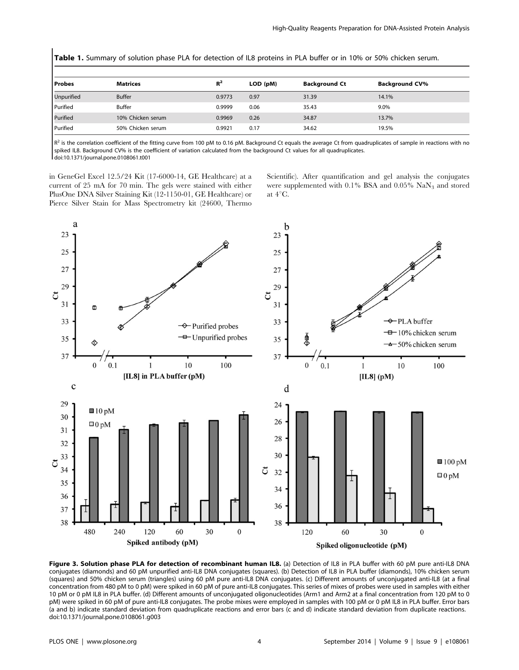| Table 1. Summary of solution phase PLA for detection of IL8 proteins in PLA buffer or in 10% or 50% chicken serum. |                   |        |          |                      |                       |
|--------------------------------------------------------------------------------------------------------------------|-------------------|--------|----------|----------------------|-----------------------|
| <b>Probes</b>                                                                                                      | <b>Matrices</b>   | $R^2$  | LOD (pM) | <b>Background Ct</b> | <b>Background CV%</b> |
| <b>Unpurified</b>                                                                                                  | <b>Buffer</b>     | 0.9773 | 0.97     | 31.39                | 14.1%                 |
| Purified                                                                                                           | <b>Buffer</b>     | 0.9999 | 0.06     | 35.43                | 9.0%                  |
| Purified                                                                                                           | 10% Chicken serum | 0.9969 | 0.26     | 34.87                | 13.7%                 |
| Purified                                                                                                           | 50% Chicken serum | 0.9921 | 0.17     | 34.62                | 19.5%                 |

 $R^2$  is the correlation coefficient of the fitting curve from 100 pM to 0.16 pM. Background Ct equals the average Ct from quadruplicates of sample in reactions with no spiked IL8. Background CV% is the coefficient of variation calculated from the background Ct values for all quadruplicates. doi:10.1371/journal.pone.0108061.t001

in GeneGel Excel 12.5/24 Kit (17-6000-14, GE Healthcare) at a current of 25 mA for 70 min. The gels were stained with either PlusOne DNA Silver Staining Kit (12-1150-01, GE Healthcare) or Pierce Silver Stain for Mass Spectrometry kit (24600, Thermo Scientific). After quantification and gel analysis the conjugates were supplemented with 0.1% BSA and 0.05% NaN<sub>3</sub> and stored at  $4^{\circ}$ C.



Figure 3. Solution phase PLA for detection of recombinant human IL8. (a) Detection of IL8 in PLA buffer with 60 pM pure anti-IL8 DNA conjugates (diamonds) and 60 pM unpurified anti-IL8 DNA conjugates (squares). (b) Detection of IL8 in PLA buffer (diamonds), 10% chicken serum (squares) and 50% chicken serum (triangles) using 60 pM pure anti-IL8 DNA conjugates. (c) Different amounts of unconjugated anti-IL8 (at a final concentration from 480 pM to 0 pM) were spiked in 60 pM of pure anti-IL8 conjugates. This series of mixes of probes were used in samples with either 10 pM or 0 pM IL8 in PLA buffer. (d) Different amounts of unconjugated oligonucleotides (Arm1 and Arm2 at a final concentration from 120 pM to 0 pM) were spiked in 60 pM of pure anti-IL8 conjugates. The probe mixes were employed in samples with 100 pM or 0 pM IL8 in PLA buffer. Error bars (a and b) indicate standard deviation from quadruplicate reactions and error bars (c and d) indicate standard deviation from duplicate reactions. doi:10.1371/journal.pone.0108061.g003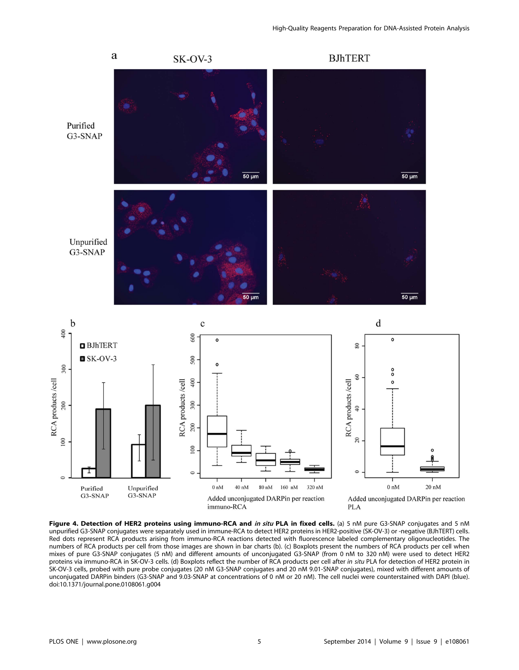

Figure 4. Detection of HER2 proteins using immuno-RCA and in situ PLA in fixed cells. (a) 5 nM pure G3-SNAP conjugates and 5 nM unpurified G3-SNAP conjugates were separately used in immune-RCA to detect HER2 proteins in HER2-positive (SK-OV-3) or -negative (BJhTERT) cells. Red dots represent RCA products arising from immuno-RCA reactions detected with fluorescence labeled complementary oligonucleotides. The numbers of RCA products per cell from those images are shown in bar charts (b). (c) Boxplots present the numbers of RCA products per cell when mixes of pure G3-SNAP conjugates (5 nM) and different amounts of unconjugated G3-SNAP (from 0 nM to 320 nM) were used to detect HER2 proteins via immuno-RCA in SK-OV-3 cells. (d) Boxplots reflect the number of RCA products per cell after in situ PLA for detection of HER2 protein in SK-OV-3 cells, probed with pure probe conjugates (20 nM G3-SNAP conjugates and 20 nM 9.01-SNAP conjugates), mixed with different amounts of unconjugated DARPin binders (G3-SNAP and 9.03-SNAP at concentrations of 0 nM or 20 nM). The cell nuclei were counterstained with DAPI (blue). doi:10.1371/journal.pone.0108061.g004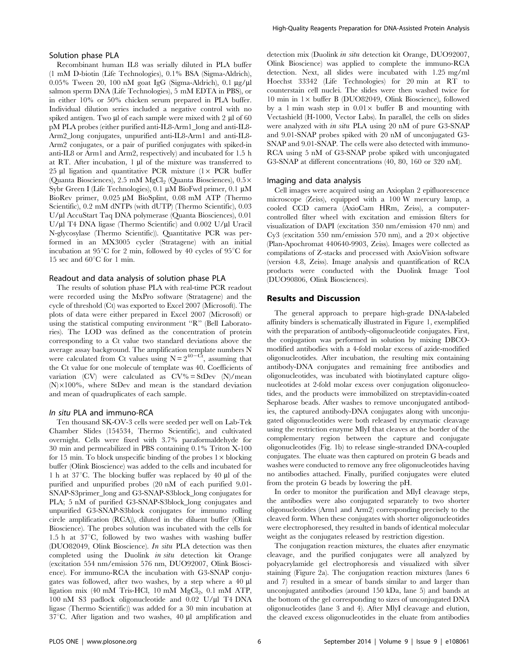#### Solution phase PLA

Recombinant human IL8 was serially diluted in PLA buffer (1 mM D-biotin (Life Technologies), 0.1% BSA (Sigma-Aldrich), 0.05% Tween 20, 100 nM goat IgG (Sigma-Aldrich), 0.1  $\mu$ g/ $\mu$ l salmon sperm DNA (Life Technologies), 5 mM EDTA in PBS), or in either 10% or 50% chicken serum prepared in PLA buffer. Individual dilution series included a negative control with no spiked antigen. Two  $\mu$ l of each sample were mixed with 2  $\mu$ l of 60 pM PLA probes (either purified anti-IL8-Arm1\_long and anti-IL8- Arm2\_long conjugates, unpurified anti-IL8-Arm1 and anti-IL8- Arm2 conjugates, or a pair of purified conjugates with spiked-in anti-IL8 or Arm1 and Arm2, respectively) and incubated for 1.5 h at RT. After incubation, 1 µl of the mixture was transferred to 25 µl ligation and quantitative PCR mixture  $(1 \times PCR)$  buffer (Quanta Biosciences), 2.5 mM MgCl<sub>2</sub> (Quanta Biosciences),  $0.5 \times$ Sybr Green I (Life Technologies), 0.1  $\mu$ M BioFwd primer, 0.1  $\mu$ M BioRev primer, 0.025 µM BioSplint, 0.08 mM ATP (Thermo Scientific), 0.2 mM dNTPs (with dUTP) (Thermo Scientific), 0.03 U/ml AccuStart Taq DNA polymerase (Quanta Biosciences), 0.01 U/ $\mu$ l T4 DNA ligase (Thermo Scientific) and 0.002 U/ $\mu$ l Uracil N-glycosylase (Thermo Scientific)). Quantitative PCR was performed in an MX3005 cycler (Stratagene) with an initial incubation at  $95^{\circ}$ C for 2 min, followed by 40 cycles of  $95^{\circ}$ C for 15 sec and  $60^{\circ}$ C for 1 min.

#### Readout and data analysis of solution phase PLA

The results of solution phase PLA with real-time PCR readout were recorded using the MxPro software (Stratagene) and the cycle of threshold (Ct) was exported to Excel 2007 (Microsoft). The plots of data were either prepared in Excel 2007 (Microsoft) or using the statistical computing environment ''R'' (Bell Laboratories). The LOD was defined as the concentration of protein corresponding to a Ct value two standard deviations above the average assay background. The amplification template numbers N were calculated from Ct values using  $N = 2^{40-Ct}$ , assuming that the Ct value for one molecule of template was 40. Coefficients of variation (CV) were calculated as  $CV\% = StDev \t(N)/mean$  $(N) \times 100\%$ , where StDev and mean is the standard deviation and mean of quadruplicates of each sample.

#### In situ PLA and immuno-RCA

Ten thousand SK-OV-3 cells were seeded per well on Lab-Tek Chamber Slides (154534, Thermo Scientific), and cultivated overnight. Cells were fixed with 3.7% paraformaldehyde for 30 min and permeabilized in PBS containing 0.1% Triton X-100 for 15 min. To block unspecific binding of the probes  $1 \times$  blocking buffer (Olink Bioscience) was added to the cells and incubated for 1 h at  $37^{\circ}$ C. The blocking buffer was replaced by 40 µl of the purified and unpurified probes (20 nM of each purified 9.01- SNAP-S3primer\_long and G3-SNAP-S3block\_long conjugates for PLA; 5 nM of purified G3-SNAP-S3block\_long conjugates and unpurified G3-SNAP-S3block conjugates for immuno rolling circle amplification (RCA)), diluted in the diluent buffer (Olink Bioscience). The probes solution was incubated with the cells for 1.5 h at  $37^{\circ}$ C, followed by two washes with washing buffer (DUO82049, Olink Bioscience). In situ PLA detection was then completed using the Duolink in situ detection kit Orange (excitation 554 nm/emission 576 nm, DUO92007, Olink Bioscience). For immuno-RCA the incubation with G3-SNAP conjugates was followed, after two washes, by a step where a 40 ml ligation mix (40 mM Tris-HCl, 10 mM  $MgCl<sub>2</sub>$ , 0.1 mM ATP, 100 nM S3 padlock oligonucleotide and  $0.02$  U/ $\mu$ l T4 DNA ligase (Thermo Scientific)) was added for a 30 min incubation at  $37^{\circ}$ C. After ligation and two washes, 40  $\mu$ l amplification and detection mix (Duolink in situ detection kit Orange, DUO92007, Olink Bioscience) was applied to complete the immuno-RCA detection. Next, all slides were incubated with 1.25 mg/ml Hoechst 33342 (Life Technologies) for 20 min at RT to counterstain cell nuclei. The slides were then washed twice for 10 min in  $1 \times$  buffer B (DUO82049, Olink Bioscience), followed by a 1 min wash step in  $0.01 \times$  buffer B and mounting with Vectashield (H-1000, Vector Labs). In parallel, the cells on slides were analyzed with in situ PLA using 20 nM of pure G3-SNAP and 9.01-SNAP probes spiked with 20 nM of unconjugated G3- SNAP and 9.01-SNAP. The cells were also detected with immuno-RCA using 5 nM of G3-SNAP probe spiked with unconjugated G3-SNAP at different concentrations (40, 80, 160 or 320 nM).

#### Imaging and data analysis

Cell images were acquired using an Axioplan 2 epifluorescence microscope (Zeiss), equipped with a 100 W mercury lamp, a cooled CCD camera (AxioCam HRm, Zeiss), a computercontrolled filter wheel with excitation and emission filters for visualization of DAPI (excitation 350 nm/emission 470 nm) and Cy3 (excitation 550 nm/emission 570 nm), and a  $20 \times$  objective (Plan-Apochromat 440640-9903, Zeiss). Images were collected as compilations of Z-stacks and processed with AxioVision software (version 4.8, Zeiss). Image analysis and quantification of RCA products were conducted with the Duolink Image Tool (DUO90806, Olink Biosciences).

#### Results and Discussion

The general approach to prepare high-grade DNA-labeled affinity binders is schematically illustrated in Figure 1, exemplified with the preparation of antibody-oligonucleotide conjugates. First, the conjugation was performed in solution by mixing DBCOmodified antibodies with a 4-fold molar excess of azide-modified oligonucleotides. After incubation, the resulting mix containing antibody-DNA conjugates and remaining free antibodies and oligonucleotides, was incubated with biotinylated capture oligonucleotides at 2-fold molar excess over conjugation oligonucleotides, and the products were immobilized on streptavidin-coated Sepharose beads. After washes to remove unconjugated antibodies, the captured antibody-DNA conjugates along with unconjugated oligonucleotides were both released by enzymatic cleavage using the restriction enzyme MlyI that cleaves at the border of the complementary region between the capture and conjugate oligonucleotides (Fig. 1b) to release single-stranded DNA-coupled conjugates. The eluate was then captured on protein G beads and washes were conducted to remove any free oligonucleotides having no antibodies attached. Finally, purified conjugates were eluted from the protein G beads by lowering the pH.

In order to monitor the purification and MlyI cleavage steps, the antibodies were also conjugated separately to two shorter oligonucleotides (Arm1 and Arm2) corresponding precisely to the cleaved form. When these conjugates with shorter oligonucleotides were electrophoresed, they resulted in bands of identical molecular weight as the conjugates released by restriction digestion.

The conjugation reaction mixtures, the eluates after enzymatic cleavage, and the purified conjugates were all analyzed by polyacrylamide gel electrophoresis and visualized with silver staining (Figure 2a). The conjugation reaction mixtures (lanes 6 and 7) resulted in a smear of bands similar to and larger than unconjugated antibodies (around 150 kDa, lane 5) and bands at the bottom of the gel corresponding to sizes of unconjugated DNA oligonucleotides (lane 3 and 4). After MlyI cleavage and elution, the cleaved excess oligonucleotides in the eluate from antibodies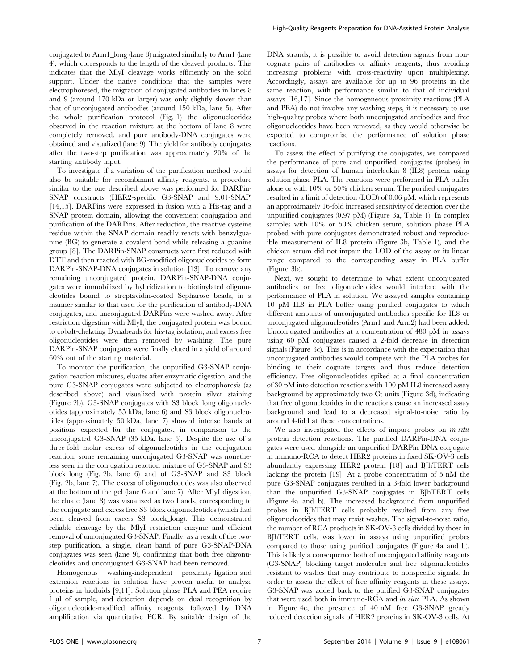conjugated to Arm1\_long (lane 8) migrated similarly to Arm1 (lane 4), which corresponds to the length of the cleaved products. This indicates that the MlyI cleavage works efficiently on the solid support. Under the native conditions that the samples were electrophoresed, the migration of conjugated antibodies in lanes 8 and 9 (around 170 kDa or larger) was only slightly slower than that of unconjugated antibodies (around 150 kDa, lane 5). After the whole purification protocol (Fig. 1) the oligonucleotides observed in the reaction mixture at the bottom of lane 8 were completely removed, and pure antibody-DNA conjugates were obtained and visualized (lane 9). The yield for antibody conjugates after the two-step purification was approximately 20% of the starting antibody input.

To investigate if a variation of the purification method would also be suitable for recombinant affinity reagents, a procedure similar to the one described above was performed for DARPin-SNAP constructs (HER2-specific G3-SNAP and 9.01-SNAP) [14,15]. DARPins were expressed in fusion with a His-tag and a SNAP protein domain, allowing the convenient conjugation and purification of the DARPins. After reduction, the reactive cysteine residue within the SNAP domain readily reacts with benzylguanine (BG) to generate a covalent bond while releasing a guanine group [8]. The DARPin-SNAP constructs were first reduced with DTT and then reacted with BG-modified oligonucleotides to form DARPin-SNAP-DNA conjugates in solution [13]. To remove any remaining unconjugated protein, DARPin-SNAP-DNA conjugates were immobilized by hybridization to biotinylated oligonucleotides bound to streptavidin-coated Sepharose beads, in a manner similar to that used for the purification of antibody-DNA conjugates, and unconjugated DARPins were washed away. After restriction digestion with MlyI, the conjugated protein was bound to cobalt-chelating Dynabeads for his-tag isolation, and excess free oligonucleotides were then removed by washing. The pure DARPin-SNAP conjugates were finally eluted in a yield of around 60% out of the starting material.

To monitor the purification, the unpurified G3-SNAP conjugation reaction mixtures, eluates after enzymatic digestion, and the pure G3-SNAP conjugates were subjected to electrophoresis (as described above) and visualized with protein silver staining (Figure 2b). G3-SNAP conjugates with S3 block\_long oligonucleotides (approximately 55 kDa, lane 6) and S3 block oligonucleotides (approximately 50 kDa, lane 7) showed intense bands at positions expected for the conjugates, in comparison to the unconjugated G3-SNAP (35 kDa, lane 5). Despite the use of a three-fold molar excess of oligonucleotides in the conjugation reaction, some remaining unconjugated G3-SNAP was nonetheless seen in the conjugation reaction mixture of G3-SNAP and S3 block\_long (Fig. 2b, lane 6) and of G3-SNAP and S3 block (Fig. 2b, lane 7). The excess of oligonucleotides was also observed at the bottom of the gel (lane 6 and lane 7). After MlyI digestion, the eluate (lane 8) was visualized as two bands, corresponding to the conjugate and excess free S3 block oligonucleotides (which had been cleaved from excess S3 block\_long). This demonstrated reliable cleavage by the MlyI restriction enzyme and efficient removal of unconjugated G3-SNAP. Finally, as a result of the twostep purification, a single, clean band of pure G3-SNAP-DNA conjugates was seen (lane 9), confirming that both free oligonucleotides and unconjugated G3-SNAP had been removed.

Homogenous – washing-independent – proximity ligation and extension reactions in solution have proven useful to analyze proteins in biofluids [9,11]. Solution phase PLA and PEA require 1 µl of sample, and detection depends on dual recognition by oligonucleotide-modified affinity reagents, followed by DNA amplification via quantitative PCR. By suitable design of the

DNA strands, it is possible to avoid detection signals from noncognate pairs of antibodies or affinity reagents, thus avoiding increasing problems with cross-reactivity upon multiplexing. Accordingly, assays are available for up to 96 proteins in the same reaction, with performance similar to that of individual assays [16,17]. Since the homogeneous proximity reactions (PLA and PEA) do not involve any washing steps, it is necessary to use high-quality probes where both unconjugated antibodies and free oligonucleotides have been removed, as they would otherwise be expected to compromise the performance of solution phase reactions.

To assess the effect of purifying the conjugates, we compared the performance of pure and unpurified conjugates (probes) in assays for detection of human interleukin 8 (IL8) protein using solution phase PLA. The reactions were performed in PLA buffer alone or with 10% or 50% chicken serum. The purified conjugates resulted in a limit of detection (LOD) of 0.06 pM, which represents an approximately 16-fold increased sensitivity of detection over the unpurified conjugates (0.97 pM) (Figure 3a, Table 1). In complex samples with 10% or 50% chicken serum, solution phase PLA probed with pure conjugates demonstrated robust and reproducible measurement of IL8 protein (Figure 3b, Table 1), and the chicken serum did not impair the LOD of the assay or its linear range compared to the corresponding assay in PLA buffer (Figure 3b).

Next, we sought to determine to what extent unconjugated antibodies or free oligonucleotides would interfere with the performance of PLA in solution. We assayed samples containing 10 pM IL8 in PLA buffer using purified conjugates to which different amounts of unconjugated antibodies specific for IL8 or unconjugated oligonucleotides (Arm1 and Arm2) had been added. Unconjugated antibodies at a concentration of 480 pM in assays using 60 pM conjugates caused a 2-fold decrease in detection signals (Figure 3c). This is in accordance with the expectation that unconjugated antibodies would compete with the PLA probes for binding to their cognate targets and thus reduce detection efficiency. Free oligonucleotides spiked at a final concentration of 30 pM into detection reactions with 100 pM IL8 increased assay background by approximately two Ct units (Figure 3d), indicating that free oligonucleotides in the reactions cause an increased assay background and lead to a decreased signal-to-noise ratio by around 4-fold at these concentrations.

We also investigated the effects of impure probes on in situ protein detection reactions. The purified DARPin-DNA conjugates were used alongside an unpurified DARPin-DNA conjugate in immuno-RCA to detect HER2 proteins in fixed SK-OV-3 cells abundantly expressing HER2 protein [18] and BJhTERT cells lacking the protein [19]. At a probe concentration of 5 nM the pure G3-SNAP conjugates resulted in a 3-fold lower background than the unpurified G3-SNAP conjugates in BJhTERT cells (Figure 4a and b). The increased background from unpurified probes in BJhTERT cells probably resulted from any free oligonucleotides that may resist washes. The signal-to-noise ratio, the number of RCA products in SK-OV-3 cells divided by those in BJhTERT cells, was lower in assays using unpurified probes compared to those using purified conjugates (Figure 4a and b). This is likely a consequence both of unconjugated affinity reagents (G3-SNAP) blocking target molecules and free oligonucleotides resistant to washes that may contribute to nonspecific signals. In order to assess the effect of free affinity reagents in these assays, G3-SNAP was added back to the purified G3-SNAP conjugates that were used both in immuno-RCA and in situ PLA. As shown in Figure 4c, the presence of 40 nM free G3-SNAP greatly reduced detection signals of HER2 proteins in SK-OV-3 cells. At